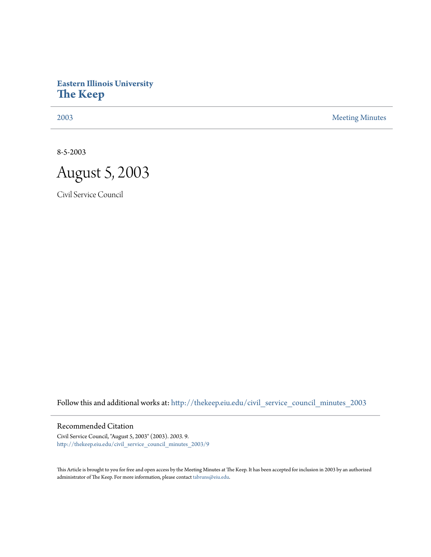## **Eastern Illinois University [The Keep](http://thekeep.eiu.edu?utm_source=thekeep.eiu.edu%2Fcivil_service_council_minutes_2003%2F9&utm_medium=PDF&utm_campaign=PDFCoverPages)**

[2003](http://thekeep.eiu.edu/civil_service_council_minutes_2003?utm_source=thekeep.eiu.edu%2Fcivil_service_council_minutes_2003%2F9&utm_medium=PDF&utm_campaign=PDFCoverPages) [Meeting Minutes](http://thekeep.eiu.edu/civil_service_council_minutes?utm_source=thekeep.eiu.edu%2Fcivil_service_council_minutes_2003%2F9&utm_medium=PDF&utm_campaign=PDFCoverPages)

8-5-2003



Civil Service Council

Follow this and additional works at: [http://thekeep.eiu.edu/civil\\_service\\_council\\_minutes\\_2003](http://thekeep.eiu.edu/civil_service_council_minutes_2003?utm_source=thekeep.eiu.edu%2Fcivil_service_council_minutes_2003%2F9&utm_medium=PDF&utm_campaign=PDFCoverPages)

## Recommended Citation

Civil Service Council, "August 5, 2003" (2003). *2003*. 9. [http://thekeep.eiu.edu/civil\\_service\\_council\\_minutes\\_2003/9](http://thekeep.eiu.edu/civil_service_council_minutes_2003/9?utm_source=thekeep.eiu.edu%2Fcivil_service_council_minutes_2003%2F9&utm_medium=PDF&utm_campaign=PDFCoverPages)

This Article is brought to you for free and open access by the Meeting Minutes at The Keep. It has been accepted for inclusion in 2003 by an authorized administrator of The Keep. For more information, please contact [tabruns@eiu.edu.](mailto:tabruns@eiu.edu)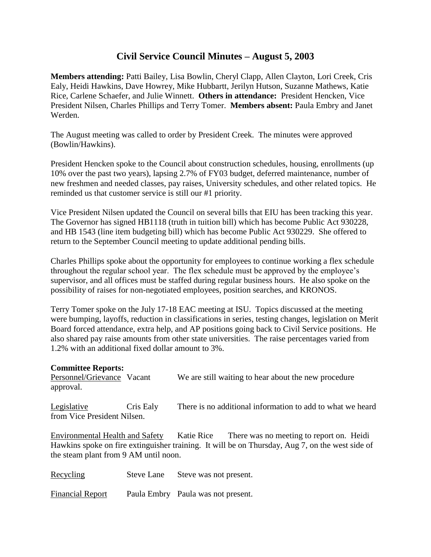## **Civil Service Council Minutes – August 5, 2003**

**Members attending:** Patti Bailey, Lisa Bowlin, Cheryl Clapp, Allen Clayton, Lori Creek, Cris Ealy, Heidi Hawkins, Dave Howrey, Mike Hubbartt, Jerilyn Hutson, Suzanne Mathews, Katie Rice, Carlene Schaefer, and Julie Winnett. **Others in attendance:** President Hencken, Vice President Nilsen, Charles Phillips and Terry Tomer. **Members absent:** Paula Embry and Janet Werden.

The August meeting was called to order by President Creek. The minutes were approved (Bowlin/Hawkins).

President Hencken spoke to the Council about construction schedules, housing, enrollments (up 10% over the past two years), lapsing 2.7% of FY03 budget, deferred maintenance, number of new freshmen and needed classes, pay raises, University schedules, and other related topics. He reminded us that customer service is still our #1 priority.

Vice President Nilsen updated the Council on several bills that EIU has been tracking this year. The Governor has signed HB1118 (truth in tuition bill) which has become Public Act 930228, and HB 1543 (line item budgeting bill) which has become Public Act 930229. She offered to return to the September Council meeting to update additional pending bills.

Charles Phillips spoke about the opportunity for employees to continue working a flex schedule throughout the regular school year. The flex schedule must be approved by the employee's supervisor, and all offices must be staffed during regular business hours. He also spoke on the possibility of raises for non-negotiated employees, position searches, and KRONOS.

Terry Tomer spoke on the July 17-18 EAC meeting at ISU. Topics discussed at the meeting were bumping, layoffs, reduction in classifications in series, testing changes, legislation on Merit Board forced attendance, extra help, and AP positions going back to Civil Service positions. He also shared pay raise amounts from other state universities. The raise percentages varied from 1.2% with an additional fixed dollar amount to 3%.

## **Committee Reports:**

| Personnel/Grievance Vacant<br>approval.                                         |                   | We are still waiting to hear about the new procedure                                                                                                   |
|---------------------------------------------------------------------------------|-------------------|--------------------------------------------------------------------------------------------------------------------------------------------------------|
| Legislative<br>from Vice President Nilsen.                                      | Cris Ealy         | There is no additional information to add to what we heard                                                                                             |
| <b>Environmental Health and Safety</b><br>the steam plant from 9 AM until noon. |                   | Katie Rice There was no meeting to report on. Heidi<br>Hawkins spoke on fire extinguisher training. It will be on Thursday, Aug 7, on the west side of |
| Recycling                                                                       | <b>Steve Lane</b> | Steve was not present.                                                                                                                                 |

Financial Report Paula Embry Paula was not present.